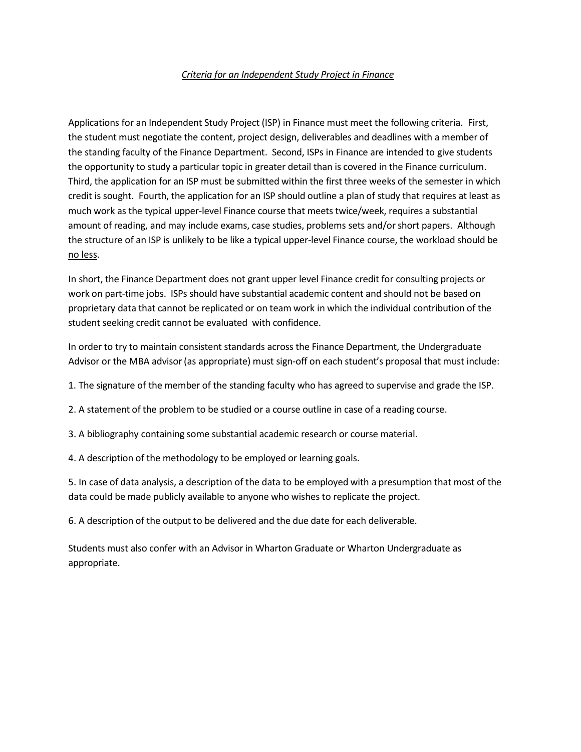## *Criteria for an Independent Study Project in Finance*

Applications for an Independent Study Project (ISP) in Finance must meet the following criteria. First, the student must negotiate the content, project design, deliverables and deadlines with a member of the standing faculty of the Finance Department. Second, ISPs in Finance are intended to give students the opportunity to study a particular topic in greater detail than is covered in the Finance curriculum. Third, the application for an ISP must be submitted within the first three weeks of the semester in which credit is sought. Fourth, the application for an ISP should outline a plan of study that requires at least as much work as the typical upper-level Finance course that meets twice/week, requires a substantial amount of reading, and may include exams, case studies, problems sets and/orshort papers. Although the structure of an ISP is unlikely to be like a typical upper-level Finance course, the workload should be no less.

In short, the Finance Department does not grant upper level Finance credit for consulting projects or work on part-time jobs. ISPs should have substantial academic content and should not be based on proprietary data that cannot be replicated or on team work in which the individual contribution of the student seeking credit cannot be evaluated with confidence.

In order to try to maintain consistent standards across the Finance Department, the Undergraduate Advisor or the MBA advisor (as appropriate) must sign-off on each student's proposal that must include:

1. The signature of the member of the standing faculty who has agreed to supervise and grade the ISP.

2. A statement of the problem to be studied or a course outline in case of a reading course.

3. A bibliography containing some substantial academic research or course material.

4. A description of the methodology to be employed or learning goals.

5. In case of data analysis, a description of the data to be employed with a presumption that most of the data could be made publicly available to anyone who wishes to replicate the project.

6. A description of the output to be delivered and the due date for each deliverable.

Students must also confer with an Advisor in Wharton Graduate or Wharton Undergraduate as appropriate.